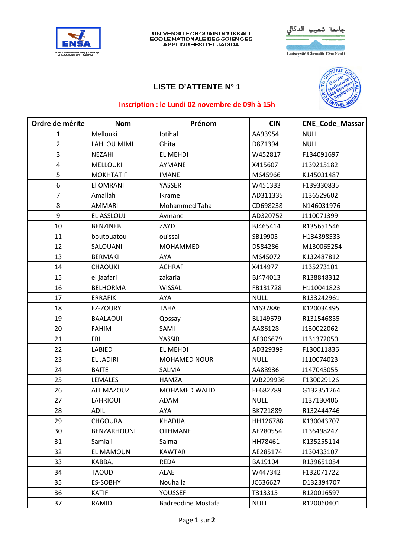



## **LISTE D'ATTENTE N° 1**



## Inscription : le Lundi 02 novembre de 09h à 15h

| Ordre de mérite | <b>Nom</b>       | Prénom               | <b>CIN</b>  | <b>CNE Code Massar</b> |
|-----------------|------------------|----------------------|-------------|------------------------|
| $\mathbf{1}$    | Mellouki         | Ibtihal              | AA93954     | <b>NULL</b>            |
| $\overline{2}$  | LAHLOU MIMI      | Ghita                | D871394     | <b>NULL</b>            |
| 3               | <b>NEZAHI</b>    | <b>EL MEHDI</b>      | W452817     | F134091697             |
| $\overline{4}$  | <b>MELLOUKI</b>  | AYMANE               | X415607     | J139215182             |
| 5               | <b>MOKHTATIF</b> | <b>IMANE</b>         | M645966     | K145031487             |
| 6               | El OMRANI        | YASSER               | W451333     | F139330835             |
| 7               | Amallah          | Ikrame               | AD311335    | J136529602             |
| 8               | <b>AMMARI</b>    | Mohammed Taha        | CD698238    | N146031976             |
| 9               | EL ASSLOUJ       | Aymane               | AD320752    | J110071399             |
| 10              | <b>BENZINEB</b>  | ZAYD                 | BJ465414    | R135651546             |
| 11              | boutouatou       | ouissal              | SB19905     | H134398533             |
| 12              | SALOUANI         | <b>MOHAMMED</b>      | D584286     | M130065254             |
| 13              | <b>BERMAKI</b>   | AYA                  | M645072     | K132487812             |
| 14              | <b>CHAOUKI</b>   | <b>ACHRAF</b>        | X414977     | J135273101             |
| 15              | el jaafari       | zakaria              | BJ474013    | R138848312             |
| 16              | <b>BELHORMA</b>  | <b>WISSAL</b>        | FB131728    | H110041823             |
| 17              | <b>ERRAFIK</b>   | AYA                  | <b>NULL</b> | R133242961             |
| 18              | EZ-ZOURY         | <b>TAHA</b>          | M637886     | K120034495             |
| 19              | <b>BAALAOUI</b>  | Qossay               | BL149679    | R131546855             |
| 20              | <b>FAHIM</b>     | SAMI                 | AA86128     | J130022062             |
| 21              | <b>FRI</b>       | YASSIR               | AE306679    | J131372050             |
| 22              | LABIED           | EL MEHDI             | AD329399    | F130011836             |
| 23              | <b>EL JADIRI</b> | <b>MOHAMED NOUR</b>  | <b>NULL</b> | J110074023             |
| 24              | <b>BAITE</b>     | SALMA                | AA88936     | J147045055             |
| 25              | <b>LEMALES</b>   | <b>HAMZA</b>         | WB209936    | F130029126             |
| 26              | AIT MAZOUZ       | <b>MOHAMED WALID</b> | EE682789    | G132351264             |
| 27              | <b>LAHRIOUI</b>  | <b>ADAM</b>          | <b>NULL</b> | J137130406             |
| 28              | <b>ADIL</b>      | AYA                  | BK721889    | R132444746             |
| 29              | <b>CHGOURA</b>   | KHADIJA              | HH126788    | K130043707             |
| 30              | BENZARHOUNI      | <b>OTHMANE</b>       | AE280554    | J136498247             |
| 31              | Samlali          | Salma                | HH78461     | K135255114             |
| 32              | EL MAMOUN        | <b>KAWTAR</b>        | AE285174    | J130433107             |
| 33              | <b>KABBAJ</b>    | <b>REDA</b>          | BA19104     | R139651054             |
| 34              | <b>TAOUDI</b>    | ALAE                 | W447342     | F132071722             |
| 35              | ES-SOBHY         | Nouhaila             | JC636627    | D132394707             |
| 36              | <b>KATIF</b>     | <b>YOUSSEF</b>       | T313315     | R120016597             |
| 37              | RAMID            | Badreddine Mostafa   | <b>NULL</b> | R120060401             |